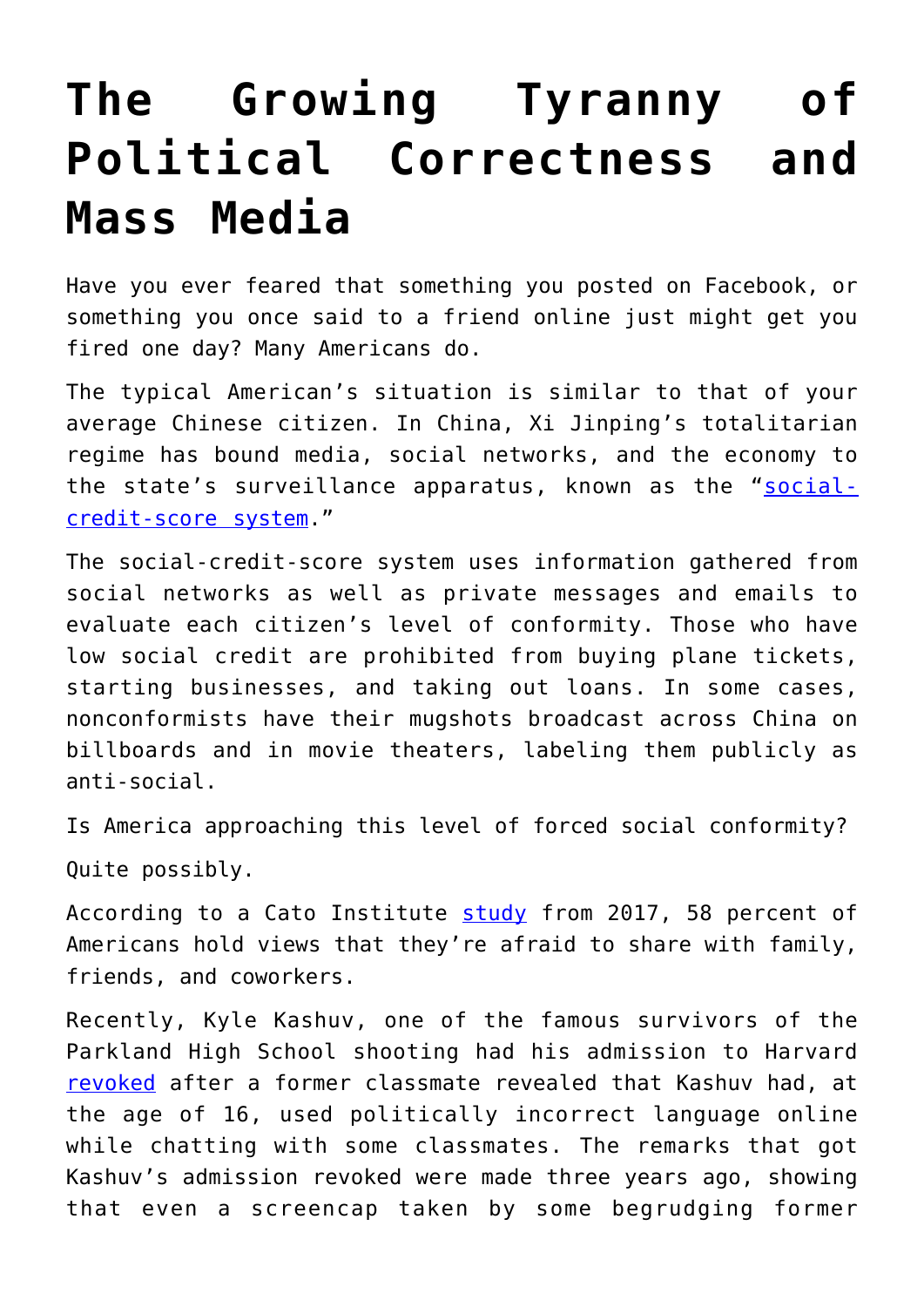## **[The Growing Tyranny of](https://intellectualtakeout.org/2019/07/the-growing-tyranny-of-political-correctness-and-mass-media/) [Political Correctness and](https://intellectualtakeout.org/2019/07/the-growing-tyranny-of-political-correctness-and-mass-media/) [Mass Media](https://intellectualtakeout.org/2019/07/the-growing-tyranny-of-political-correctness-and-mass-media/)**

Have you ever feared that something you posted on Facebook, or something you once said to a friend online just might get you fired one day? Many Americans do.

The typical American's situation is similar to that of your average Chinese citizen. In China, Xi Jinping's totalitarian regime has bound media, social networks, and the economy to the state's surveillance apparatus, known as the "[social](https://time.com/collection/davos-2019/5502592/china-social-credit-score/)[credit-score system.](https://time.com/collection/davos-2019/5502592/china-social-credit-score/)"

The social-credit-score system uses information gathered from social networks as well as private messages and emails to evaluate each citizen's level of conformity. Those who have low social credit are prohibited from buying plane tickets, starting businesses, and taking out loans. In some cases, nonconformists have their mugshots broadcast across China on billboards and in movie theaters, labeling them publicly as anti-social.

Is America approaching this level of forced social conformity?

Quite possibly.

According to a Cato Institute [study](https://www.cato.org/blog/poll-71-americans-say-political-correctness-has-silenced-discussions-society-needs-have-58-have) from 2017, 58 percent of Americans hold views that they're afraid to share with family, friends, and coworkers.

Recently, Kyle Kashuv, one of the famous survivors of the Parkland High School shooting had his admission to Harvard [revoked](https://www.washingtonpost.com/education/2019/06/17/parkland-activist-says-harvard-revoked-his-offer-admission/?utm_term=.91f801eec027) after a former classmate revealed that Kashuv had, at the age of 16, used politically incorrect language online while chatting with some classmates. The remarks that got Kashuv's admission revoked were made three years ago, showing that even a screencap taken by some begrudging former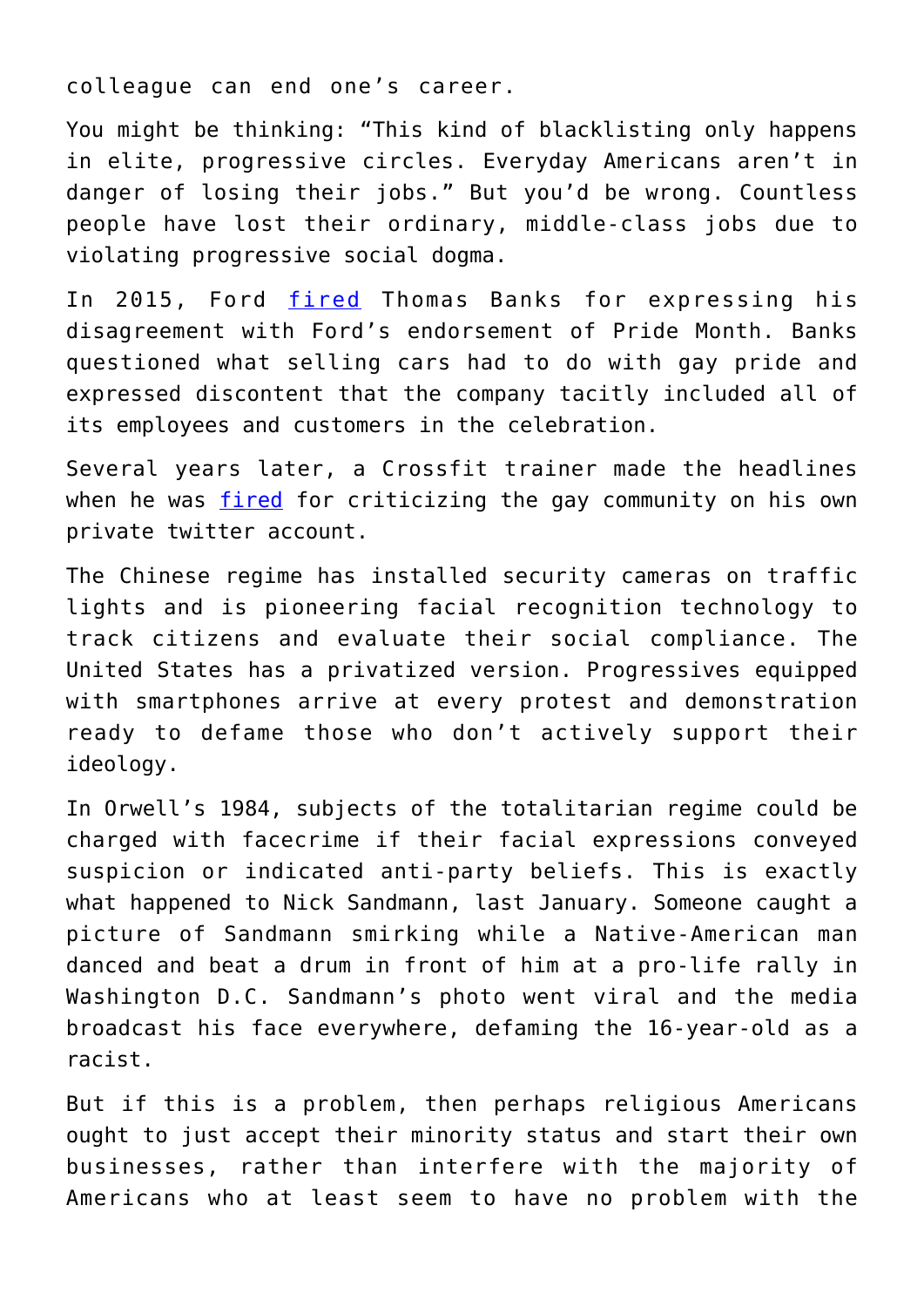colleague can end one's career.

You might be thinking: "This kind of blacklisting only happens in elite, progressive circles. Everyday Americans aren't in danger of losing their jobs." But you'd be wrong. Countless people have lost their ordinary, middle-class jobs due to violating progressive social dogma.

In 2015, Ford [fired](https://www.detroitnews.com/story/business/autos/ford/2015/01/30/ex-ford-employee-says-fired-anti-gay-remarks/22575103/) Thomas Banks for expressing his disagreement with Ford's endorsement of Pride Month. Banks questioned what selling cars had to do with gay pride and expressed discontent that the company tacitly included all of its employees and customers in the celebration.

Several years later, a Crossfit trainer made the headlines when he was *fired* for criticizing the gay community on his own private twitter account.

The Chinese regime has installed security cameras on traffic lights and is pioneering facial recognition technology to track citizens and evaluate their social compliance. The United States has a privatized version. Progressives equipped with smartphones arrive at every protest and demonstration ready to defame those who don't actively support their ideology.

In Orwell's 1984, subjects of the totalitarian regime could be charged with facecrime if their facial expressions conveyed suspicion or indicated anti-party beliefs. This is exactly what happened to Nick Sandmann, last January. Someone caught a picture of Sandmann smirking while a Native-American man danced and beat a drum in front of him at a pro-life rally in Washington D.C. Sandmann's photo went viral and the media broadcast his face everywhere, defaming the 16-year-old as a racist.

But if this is a problem, then perhaps religious Americans ought to just accept their minority status and start their own businesses, rather than interfere with the majority of Americans who at least seem to have no problem with the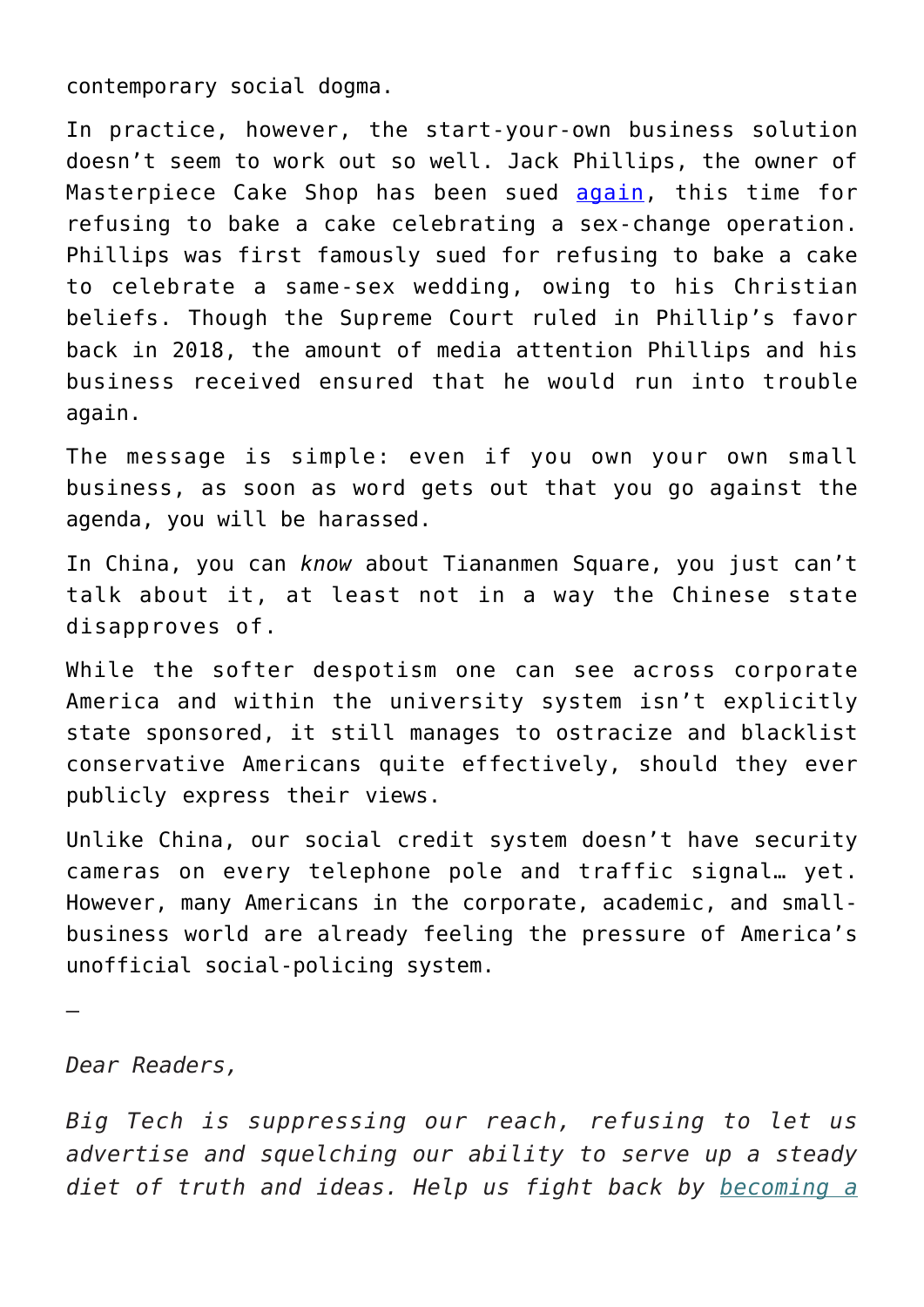contemporary social dogma.

In practice, however, the start-your-own business solution doesn't seem to work out so well. Jack Phillips, the owner of Masterpiece Cake Shop has been sued [again,](https://www.nationalreview.com/news/masterpiece-cakeshop-owner-sued-again-after-refusing-to-bake-gender-transition-cake/) this time for refusing to bake a cake celebrating a sex-change operation. Phillips was first famously sued for refusing to bake a cake to celebrate a same-sex wedding, owing to his Christian beliefs. Though the Supreme Court ruled in Phillip's favor back in 2018, the amount of media attention Phillips and his business received ensured that he would run into trouble again.

The message is simple: even if you own your own small business, as soon as word gets out that you go against the agenda, you will be harassed.

In China, you can *know* about Tiananmen Square, you just can't talk about it, at least not in a way the Chinese state disapproves of.

While the softer despotism one can see across corporate America and within the university system isn't explicitly state sponsored, it still manages to ostracize and blacklist conservative Americans quite effectively, should they ever publicly express their views.

Unlike China, our social credit system doesn't have security cameras on every telephone pole and traffic signal… yet. However, many Americans in the corporate, academic, and smallbusiness world are already feeling the pressure of America's unofficial social-policing system.

—

*Dear Readers,*

*Big Tech is suppressing our reach, refusing to let us advertise and squelching our ability to serve up a steady diet of truth and ideas. Help us fight back by [becoming a](https://www.chroniclesmagazine.org/subscribe/)*